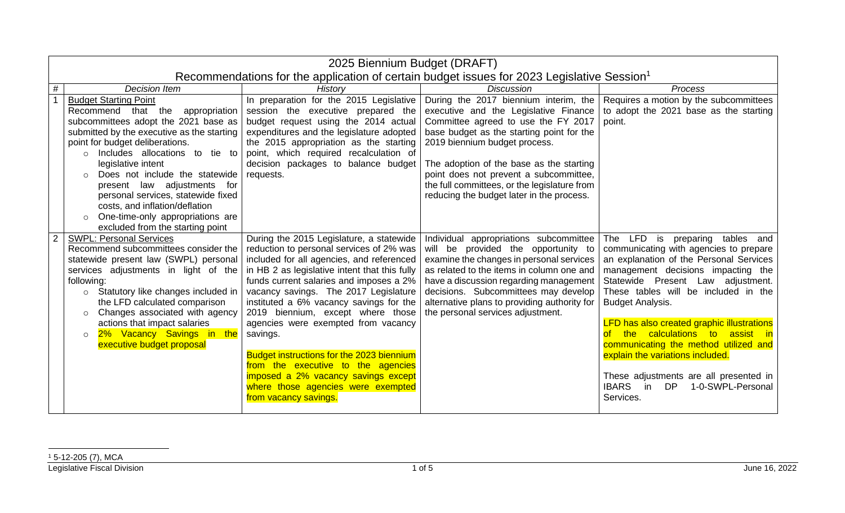|                | 2025 Biennium Budget (DRAFT)                                                                                                                                                                                                                                                                                                                                                                                                                                          |                                                                                                                                                                                                                                                                                                                                                                                                                                                                                                                                                                                                    |                                                                                                                                                                                                                                                                                                                                                                                        |                                                                                                                                                                                                                                                                                                                                                                                                                                                                                                                                                               |
|----------------|-----------------------------------------------------------------------------------------------------------------------------------------------------------------------------------------------------------------------------------------------------------------------------------------------------------------------------------------------------------------------------------------------------------------------------------------------------------------------|----------------------------------------------------------------------------------------------------------------------------------------------------------------------------------------------------------------------------------------------------------------------------------------------------------------------------------------------------------------------------------------------------------------------------------------------------------------------------------------------------------------------------------------------------------------------------------------------------|----------------------------------------------------------------------------------------------------------------------------------------------------------------------------------------------------------------------------------------------------------------------------------------------------------------------------------------------------------------------------------------|---------------------------------------------------------------------------------------------------------------------------------------------------------------------------------------------------------------------------------------------------------------------------------------------------------------------------------------------------------------------------------------------------------------------------------------------------------------------------------------------------------------------------------------------------------------|
|                | Recommendations for the application of certain budget issues for 2023 Legislative Session <sup>1</sup>                                                                                                                                                                                                                                                                                                                                                                |                                                                                                                                                                                                                                                                                                                                                                                                                                                                                                                                                                                                    |                                                                                                                                                                                                                                                                                                                                                                                        |                                                                                                                                                                                                                                                                                                                                                                                                                                                                                                                                                               |
| #              | <b>Decision Item</b>                                                                                                                                                                                                                                                                                                                                                                                                                                                  | History                                                                                                                                                                                                                                                                                                                                                                                                                                                                                                                                                                                            | <b>Discussion</b>                                                                                                                                                                                                                                                                                                                                                                      | Process                                                                                                                                                                                                                                                                                                                                                                                                                                                                                                                                                       |
|                | <b>Budget Starting Point</b><br>Recommend that the<br>appropriation<br>subcommittees adopt the 2021 base as<br>submitted by the executive as the starting<br>point for budget deliberations.<br>Includes allocations to tie to<br>legislative intent<br>Does not include the statewide<br>present law adjustments for<br>personal services, statewide fixed<br>costs, and inflation/deflation<br>One-time-only appropriations are<br>excluded from the starting point | In preparation for the 2015 Legislative<br>session the executive prepared the<br>budget request using the 2014 actual<br>expenditures and the legislature adopted<br>the 2015 appropriation as the starting<br>point, which required recalculation of<br>decision packages to balance budget<br>requests.                                                                                                                                                                                                                                                                                          | During the 2017 biennium interim, the<br>executive and the Legislative Finance<br>Committee agreed to use the FY 2017<br>base budget as the starting point for the<br>2019 biennium budget process.<br>The adoption of the base as the starting<br>point does not prevent a subcommittee,<br>the full committees, or the legislature from<br>reducing the budget later in the process. | Requires a motion by the subcommittees<br>to adopt the 2021 base as the starting<br>point.                                                                                                                                                                                                                                                                                                                                                                                                                                                                    |
| $\overline{2}$ | <b>SWPL: Personal Services</b><br>Recommend subcommittees consider the<br>statewide present law (SWPL) personal<br>services adjustments in light of the<br>following:<br>o Statutory like changes included in<br>the LFD calculated comparison<br>Changes associated with agency<br>$\circ$<br>actions that impact salaries<br>2% Vacancy Savings in the<br>executive budget proposal                                                                                 | During the 2015 Legislature, a statewide<br>reduction to personal services of 2% was<br>included for all agencies, and referenced<br>in HB 2 as legislative intent that this fully<br>funds current salaries and imposes a 2%<br>vacancy savings. The 2017 Legislature<br>instituted a 6% vacancy savings for the<br>2019 biennium, except where those<br>agencies were exempted from vacancy<br>savings.<br>Budget instructions for the 2023 biennium<br>from the executive to the agencies<br>imposed a 2% vacancy savings except<br>where those agencies were exempted<br>from vacancy savings. | Individual appropriations subcommittee<br>will be provided the opportunity to<br>examine the changes in personal services<br>as related to the items in column one and<br>have a discussion regarding management<br>decisions. Subcommittees may develop<br>alternative plans to providing authority for<br>the personal services adjustment.                                          | LFD is<br>The<br>preparing tables and<br>communicating with agencies to prepare<br>an explanation of the Personal Services<br>management decisions impacting the<br>Statewide Present Law adjustment.<br>These tables will be included in the<br><b>Budget Analysis.</b><br><b>LFD has also created graphic illustrations</b><br>the calculations to assist in<br>$\circ$ f<br>communicating the method utilized and<br>explain the variations included.<br>These adjustments are all presented in<br><b>IBARS</b><br>in DP<br>1-0-SWPL-Personal<br>Services. |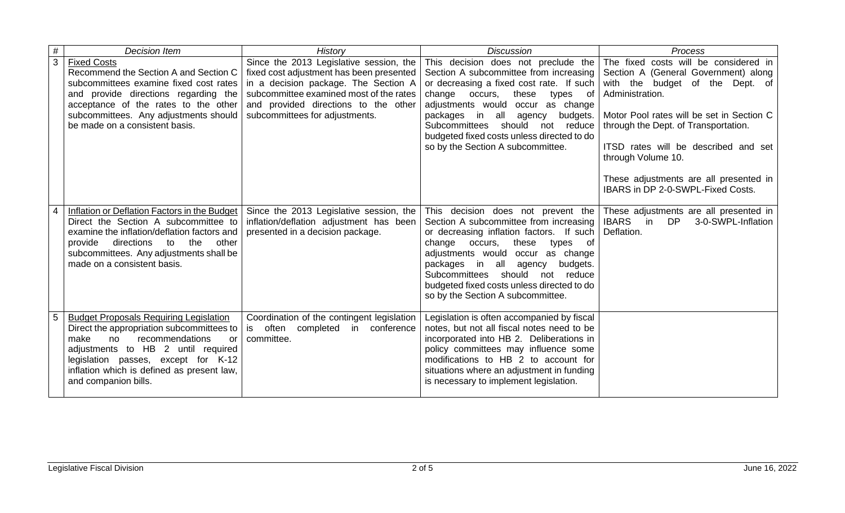| #              | <b>Decision Item</b>                                                                                                                                                                                                                                                                 | History                                                                                                                                                                                                                                          | <b>Discussion</b>                                                                                                                                                                                                                                                                                                                                                                | Process                                                                                                                                                                                                                                                                                                                                                               |
|----------------|--------------------------------------------------------------------------------------------------------------------------------------------------------------------------------------------------------------------------------------------------------------------------------------|--------------------------------------------------------------------------------------------------------------------------------------------------------------------------------------------------------------------------------------------------|----------------------------------------------------------------------------------------------------------------------------------------------------------------------------------------------------------------------------------------------------------------------------------------------------------------------------------------------------------------------------------|-----------------------------------------------------------------------------------------------------------------------------------------------------------------------------------------------------------------------------------------------------------------------------------------------------------------------------------------------------------------------|
| $\overline{3}$ | <b>Fixed Costs</b><br>Recommend the Section A and Section C<br>subcommittees examine fixed cost rates<br>and provide directions regarding the<br>acceptance of the rates to the other<br>subcommittees. Any adjustments should<br>be made on a consistent basis.                     | Since the 2013 Legislative session, the<br>fixed cost adjustment has been presented<br>in a decision package. The Section A<br>subcommittee examined most of the rates<br>and provided directions to the other<br>subcommittees for adjustments. | This decision does not preclude the<br>Section A subcommittee from increasing<br>or decreasing a fixed cost rate. If such<br>these<br>change occurs,<br>types of<br>adjustments would<br>occur as change<br>in<br>all<br>packages<br>agency<br>budgets.<br>Subcommittees<br>should not reduce<br>budgeted fixed costs unless directed to do<br>so by the Section A subcommittee. | The fixed costs will be considered in<br>Section A (General Government) along<br>with the budget of the Dept. of<br>Administration.<br>Motor Pool rates will be set in Section C<br>through the Dept. of Transportation.<br>ITSD rates will be described and set<br>through Volume 10.<br>These adjustments are all presented in<br>IBARS in DP 2-0-SWPL-Fixed Costs. |
|                | Inflation or Deflation Factors in the Budget<br>Direct the Section A subcommittee to<br>examine the inflation/deflation factors and<br>directions<br>the<br>other<br>provide<br>to<br>subcommittees. Any adjustments shall be<br>made on a consistent basis.                         | Since the 2013 Legislative session, the<br>inflation/deflation adjustment has been<br>presented in a decision package.                                                                                                                           | This decision does not prevent the<br>Section A subcommittee from increasing<br>or decreasing inflation factors. If such<br>these<br>change occurs,<br>types<br>of<br>adjustments would<br>occur as change<br>packages in all<br>agency<br>budgets.<br>Subcommittees<br>should not reduce<br>budgeted fixed costs unless directed to do<br>so by the Section A subcommittee.     | These adjustments are all presented in<br><b>IBARS</b><br>in<br>DP<br>3-0-SWPL-Inflation<br>Deflation.                                                                                                                                                                                                                                                                |
| 5              | <b>Budget Proposals Requiring Legislation</b><br>Direct the appropriation subcommittees to<br>recommendations<br>make<br>no<br>or<br>adjustments to HB 2 until required<br>legislation passes, except for K-12<br>inflation which is defined as present law,<br>and companion bills. | Coordination of the contingent legislation<br>is often completed in conference<br>committee.                                                                                                                                                     | Legislation is often accompanied by fiscal<br>notes, but not all fiscal notes need to be<br>incorporated into HB 2. Deliberations in<br>policy committees may influence some<br>modifications to HB 2 to account for<br>situations where an adjustment in funding<br>is necessary to implement legislation.                                                                      |                                                                                                                                                                                                                                                                                                                                                                       |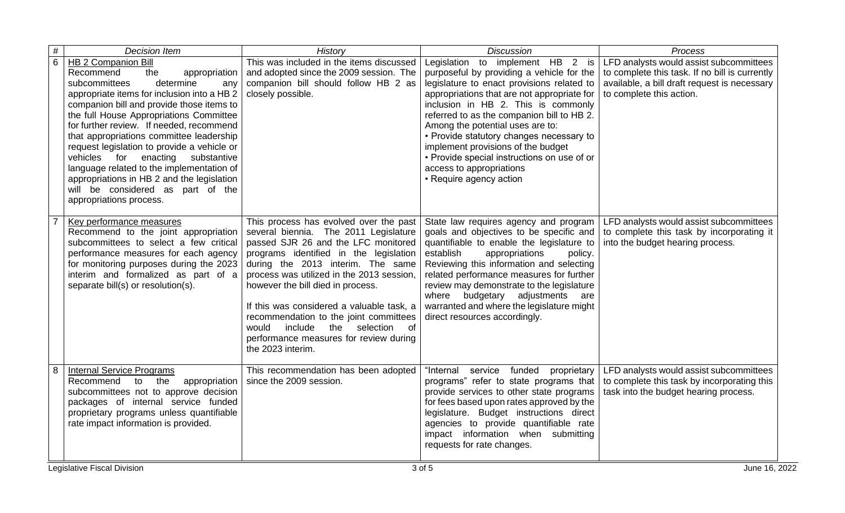| $\#$ | <b>Decision Item</b>                                                                                                                                                                                                                                                                                                                                                                                                                                                                                                                                    | History                                                                                                                                                                                                                                                                                                                                                                                                                                                                               | <b>Discussion</b>                                                                                                                                                                                                                                                                                                                                                                                                                                       | Process                                                                                                                         |
|------|---------------------------------------------------------------------------------------------------------------------------------------------------------------------------------------------------------------------------------------------------------------------------------------------------------------------------------------------------------------------------------------------------------------------------------------------------------------------------------------------------------------------------------------------------------|---------------------------------------------------------------------------------------------------------------------------------------------------------------------------------------------------------------------------------------------------------------------------------------------------------------------------------------------------------------------------------------------------------------------------------------------------------------------------------------|---------------------------------------------------------------------------------------------------------------------------------------------------------------------------------------------------------------------------------------------------------------------------------------------------------------------------------------------------------------------------------------------------------------------------------------------------------|---------------------------------------------------------------------------------------------------------------------------------|
| 6    | HB 2 Companion Bill                                                                                                                                                                                                                                                                                                                                                                                                                                                                                                                                     | This was included in the items discussed                                                                                                                                                                                                                                                                                                                                                                                                                                              | Legislation to implement HB 2 is                                                                                                                                                                                                                                                                                                                                                                                                                        | LFD analysts would assist subcommittees                                                                                         |
|      | Recommend<br>the<br>appropriation<br>subcommittees<br>determine<br>any<br>appropriate items for inclusion into a HB 2<br>companion bill and provide those items to<br>the full House Appropriations Committee<br>for further review. If needed, recommend<br>that appropriations committee leadership<br>request legislation to provide a vehicle or<br>vehicles for enacting<br>substantive<br>language related to the implementation of<br>appropriations in HB 2 and the legislation<br>will be considered as part of the<br>appropriations process. | and adopted since the 2009 session. The<br>companion bill should follow HB 2 as<br>closely possible.                                                                                                                                                                                                                                                                                                                                                                                  | purposeful by providing a vehicle for the<br>legislature to enact provisions related to<br>appropriations that are not appropriate for<br>inclusion in HB 2. This is commonly<br>referred to as the companion bill to HB 2.<br>Among the potential uses are to:<br>• Provide statutory changes necessary to<br>implement provisions of the budget<br>• Provide special instructions on use of or<br>access to appropriations<br>• Require agency action | to complete this task. If no bill is currently<br>available, a bill draft request is necessary<br>to complete this action.      |
|      | Key performance measures<br>Recommend to the joint appropriation<br>subcommittees to select a few critical<br>performance measures for each agency<br>for monitoring purposes during the 2023<br>interim and formalized as part of a<br>separate bill(s) or resolution(s).                                                                                                                                                                                                                                                                              | This process has evolved over the past<br>several biennia. The 2011 Legislature<br>passed SJR 26 and the LFC monitored<br>programs identified in the legislation<br>during the 2013 interim. The same<br>process was utilized in the 2013 session.<br>however the bill died in process.<br>If this was considered a valuable task, a<br>recommendation to the joint committees<br>would<br>include<br>the selection of<br>performance measures for review during<br>the 2023 interim. | State law requires agency and program<br>goals and objectives to be specific and<br>quantifiable to enable the legislature to<br>establish<br>appropriations<br>policy.<br>Reviewing this information and selecting<br>related performance measures for further<br>review may demonstrate to the legislature<br>where budgetary adjustments are<br>warranted and where the legislature might<br>direct resources accordingly.                           | LFD analysts would assist subcommittees<br>to complete this task by incorporating it<br>into the budget hearing process.        |
| 8    | <b>Internal Service Programs</b><br>the<br>Recommend<br>to<br>appropriation<br>subcommittees not to approve decision<br>packages of internal service funded<br>proprietary programs unless quantifiable<br>rate impact information is provided.                                                                                                                                                                                                                                                                                                         | This recommendation has been adopted<br>since the 2009 session.                                                                                                                                                                                                                                                                                                                                                                                                                       | service funded proprietary<br>"Internal<br>programs" refer to state programs that<br>provide services to other state programs<br>for fees based upon rates approved by the<br>legislature. Budget instructions direct<br>agencies to provide quantifiable rate<br>impact information when submitting<br>requests for rate changes.                                                                                                                      | LFD analysts would assist subcommittees<br>to complete this task by incorporating this<br>task into the budget hearing process. |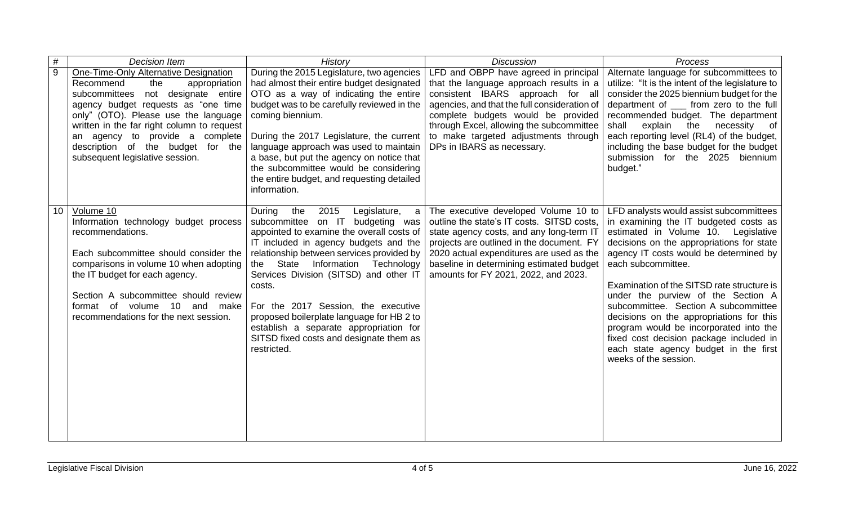| #  | Decision Item                                                                                                                                                                                                                                                                                                                                                   | History                                                                                                                                                                                                                                                                                                                                                                                                                                                                                                 | <b>Discussion</b>                                                                                                                                                                                                                                                                                                             | Process                                                                                                                                                                                                                                                                                                                                                                                                                                                                                                                                                             |
|----|-----------------------------------------------------------------------------------------------------------------------------------------------------------------------------------------------------------------------------------------------------------------------------------------------------------------------------------------------------------------|---------------------------------------------------------------------------------------------------------------------------------------------------------------------------------------------------------------------------------------------------------------------------------------------------------------------------------------------------------------------------------------------------------------------------------------------------------------------------------------------------------|-------------------------------------------------------------------------------------------------------------------------------------------------------------------------------------------------------------------------------------------------------------------------------------------------------------------------------|---------------------------------------------------------------------------------------------------------------------------------------------------------------------------------------------------------------------------------------------------------------------------------------------------------------------------------------------------------------------------------------------------------------------------------------------------------------------------------------------------------------------------------------------------------------------|
| 9  | <b>One-Time-Only Alternative Designation</b><br>Recommend<br>the<br>appropriation<br>subcommittees not designate entire<br>agency budget requests as "one time<br>only" (OTO). Please use the language<br>written in the far right column to request<br>an agency to provide a complete<br>description of the budget for the<br>subsequent legislative session. | During the 2015 Legislature, two agencies<br>had almost their entire budget designated<br>OTO as a way of indicating the entire<br>budget was to be carefully reviewed in the<br>coming biennium.<br>During the 2017 Legislature, the current<br>language approach was used to maintain<br>a base, but put the agency on notice that<br>the subcommittee would be considering<br>the entire budget, and requesting detailed<br>information.                                                             | LFD and OBPP have agreed in principal<br>that the language approach results in a<br>consistent IBARS approach for all<br>agencies, and that the full consideration of<br>complete budgets would be provided<br>through Excel, allowing the subcommittee<br>to make targeted adjustments through<br>DPs in IBARS as necessary. | Alternate language for subcommittees to<br>utilize: "It is the intent of the legislature to<br>consider the 2025 biennium budget for the<br>department of _____ from zero to the full<br>recommended budget. The department<br>explain the<br>necessity of<br>shall<br>each reporting level (RL4) of the budget,<br>including the base budget for the budget<br>submission for the 2025<br>biennium<br>budget."                                                                                                                                                     |
| 10 | Volume 10<br>Information technology budget process<br>recommendations.<br>Each subcommittee should consider the<br>comparisons in volume 10 when adopting<br>the IT budget for each agency.<br>Section A subcommittee should review<br>format of volume 10 and make<br>recommendations for the next session.                                                    | the<br>2015<br>Legislature,<br>During<br>a<br>subcommittee on IT<br>budgeting was<br>appointed to examine the overall costs of<br>IT included in agency budgets and the<br>relationship between services provided by<br>the State<br>Information Technology<br>Services Division (SITSD) and other IT<br>costs.<br>For the 2017 Session, the executive<br>proposed boilerplate language for HB 2 to<br>establish a separate appropriation for<br>SITSD fixed costs and designate them as<br>restricted. | The executive developed Volume 10 to<br>outline the state's IT costs. SITSD costs,<br>state agency costs, and any long-term IT<br>projects are outlined in the document. FY<br>2020 actual expenditures are used as the<br>baseline in determining estimated budget<br>amounts for FY 2021, 2022, and 2023.                   | LFD analysts would assist subcommittees<br>in examining the IT budgeted costs as<br>estimated in Volume 10. Legislative<br>decisions on the appropriations for state<br>agency IT costs would be determined by<br>each subcommittee.<br>Examination of the SITSD rate structure is<br>under the purview of the Section A<br>subcommittee. Section A subcommittee<br>decisions on the appropriations for this<br>program would be incorporated into the<br>fixed cost decision package included in<br>each state agency budget in the first<br>weeks of the session. |